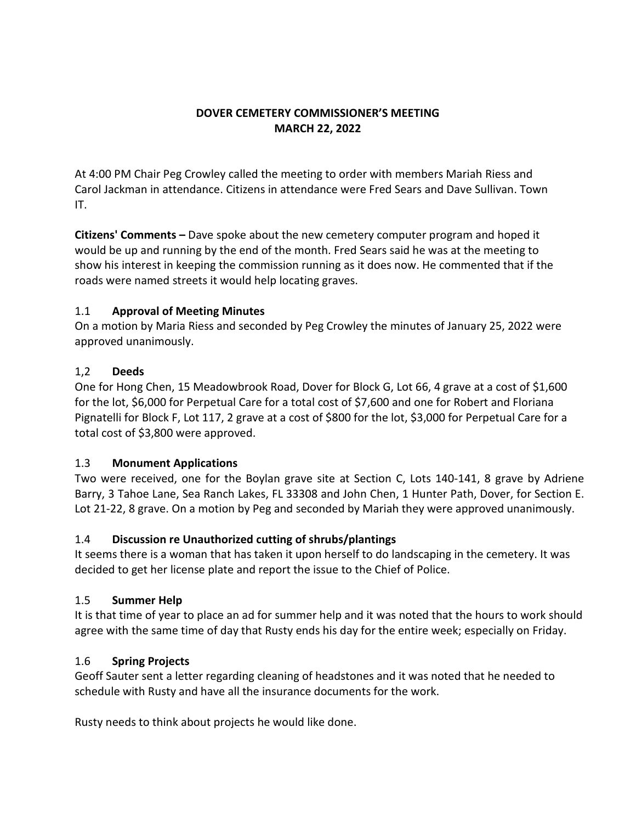### **DOVER CEMETERY COMMISSIONER'S MEETING MARCH 22, 2022**

At 4:00 PM Chair Peg Crowley called the meeting to order with members Mariah Riess and Carol Jackman in attendance. Citizens in attendance were Fred Sears and Dave Sullivan. Town IT.

**Citizens' Comments –** Dave spoke about the new cemetery computer program and hoped it would be up and running by the end of the month. Fred Sears said he was at the meeting to show his interest in keeping the commission running as it does now. He commented that if the roads were named streets it would help locating graves.

## 1.1 **Approval of Meeting Minutes**

On a motion by Maria Riess and seconded by Peg Crowley the minutes of January 25, 2022 were approved unanimously.

## 1,2 **Deeds**

One for Hong Chen, 15 Meadowbrook Road, Dover for Block G, Lot 66, 4 grave at a cost of \$1,600 for the lot, \$6,000 for Perpetual Care for a total cost of \$7,600 and one for Robert and Floriana Pignatelli for Block F, Lot 117, 2 grave at a cost of \$800 for the lot, \$3,000 for Perpetual Care for a total cost of \$3,800 were approved.

# 1.3 **Monument Applications**

Two were received, one for the Boylan grave site at Section C, Lots 140-141, 8 grave by Adriene Barry, 3 Tahoe Lane, Sea Ranch Lakes, FL 33308 and John Chen, 1 Hunter Path, Dover, for Section E. Lot 21-22, 8 grave. On a motion by Peg and seconded by Mariah they were approved unanimously.

# 1.4 **Discussion re Unauthorized cutting of shrubs/plantings**

It seems there is a woman that has taken it upon herself to do landscaping in the cemetery. It was decided to get her license plate and report the issue to the Chief of Police.

#### 1.5 **Summer Help**

It is that time of year to place an ad for summer help and it was noted that the hours to work should agree with the same time of day that Rusty ends his day for the entire week; especially on Friday.

# 1.6 **Spring Projects**

Geoff Sauter sent a letter regarding cleaning of headstones and it was noted that he needed to schedule with Rusty and have all the insurance documents for the work.

Rusty needs to think about projects he would like done.